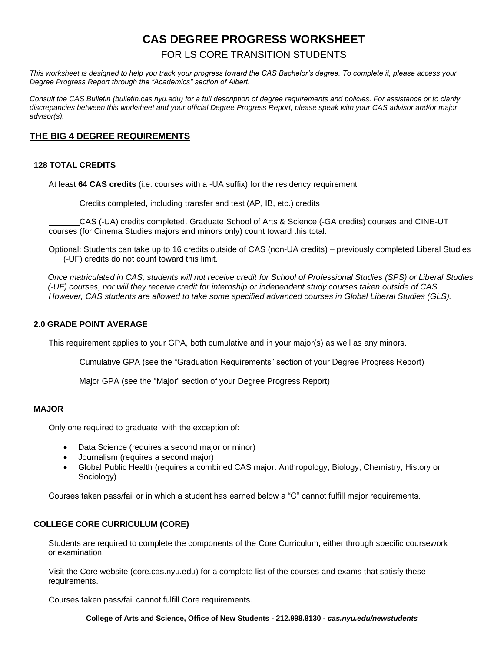# **CAS DEGREE PROGRESS WORKSHEET**

FOR LS CORE TRANSITION STUDENTS

*This worksheet is designed to help you track your progress toward the CAS Bachelor's degree. To complete it, please access your Degree Progress Report through the "Academics" section of Albert.* 

*Consult the CAS Bulletin (bulletin.cas.nyu.edu) for a full description of degree requirements and policies. For assistance or to clarify discrepancies between this worksheet and your official Degree Progress Report, please speak with your CAS advisor and/or major advisor(s).* 

# **THE BIG 4 DEGREE REQUIREMENTS**

## **128 TOTAL CREDITS**

At least **64 CAS credits** (i.e. courses with a -UA suffix) for the residency requirement

Credits completed, including transfer and test (AP, IB, etc.) credits

CAS (-UA) credits completed. Graduate School of Arts & Science (-GA credits) courses and CINE-UT courses (for Cinema Studies majors and minors only) count toward this total.

Optional: Students can take up to 16 credits outside of CAS (non-UA credits) – previously completed Liberal Studies (-UF) credits do not count toward this limit.

*Once matriculated in CAS, students will not receive credit for School of Professional Studies (SPS) or Liberal Studies (-UF) courses, nor will they receive credit for internship or independent study courses taken outside of CAS. However, CAS students are allowed to take some specified advanced courses in Global Liberal Studies (GLS).*

### **2.0 GRADE POINT AVERAGE**

This requirement applies to your GPA, both cumulative and in your major(s) as well as any minors.

Cumulative GPA (see the "Graduation Requirements" section of your Degree Progress Report)

Major GPA (see the "Major" section of your Degree Progress Report)

### **MAJOR**

Only one required to graduate, with the exception of:

- Data Science (requires a second major or minor)
- Journalism (requires a second major)
- Global Public Health (requires a combined CAS major: Anthropology, Biology, Chemistry, History or Sociology)

Courses taken pass/fail or in which a student has earned below a "C" cannot fulfill major requirements.

### **COLLEGE CORE CURRICULUM (CORE)**

Students are required to complete the components of the Core Curriculum, either through specific coursework or examination.

Visit the Core website (core.cas.nyu.edu) for a complete list of the courses and exams that satisfy these requirements.

Courses taken pass/fail cannot fulfill Core requirements.

**College of Arts and Science, Office of New Students - 212.998.8130 -** *[cas.nyu.edu/newstudents](http://cas.nyu.edu/newstudents.html)*